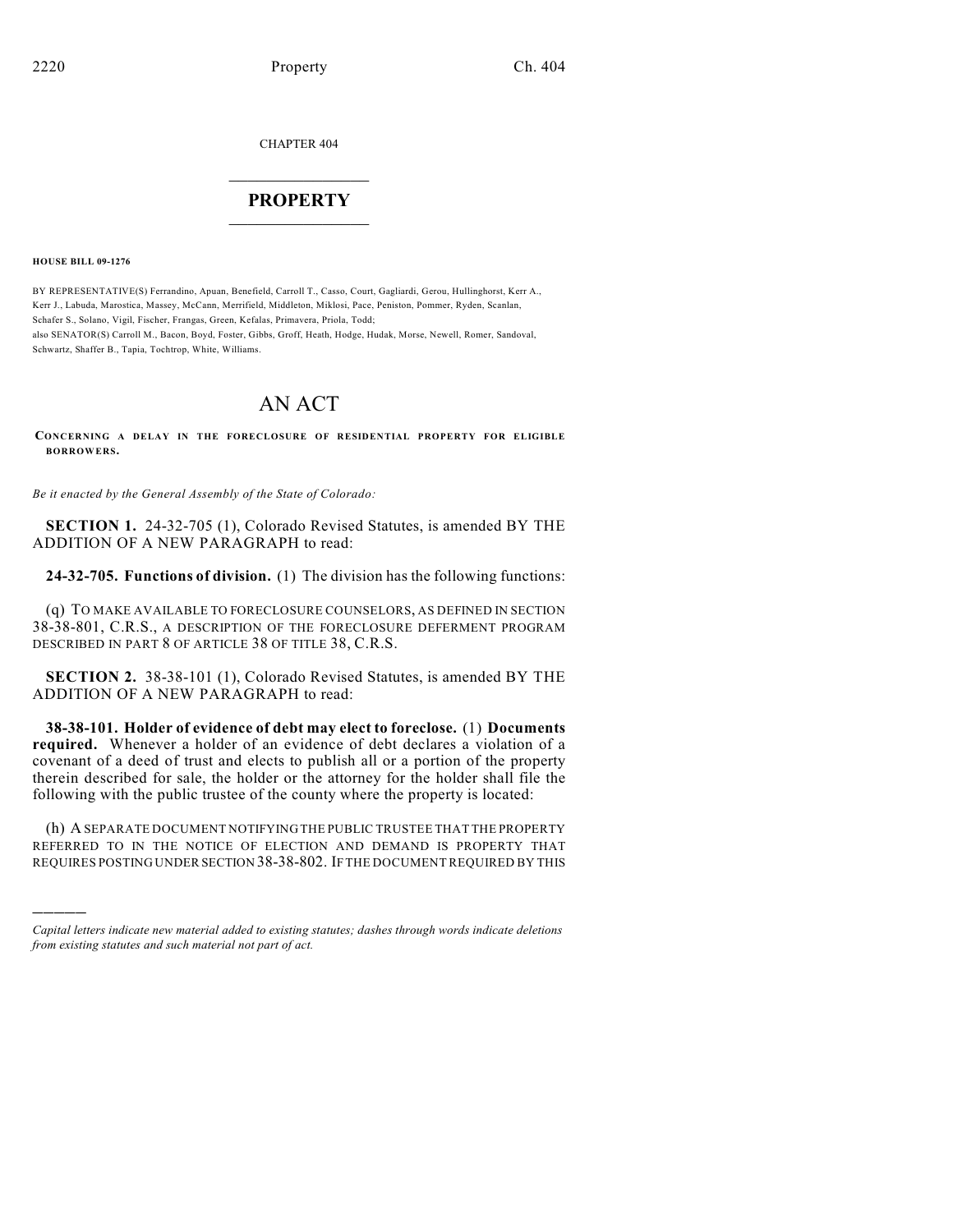CHAPTER 404

## $\overline{\phantom{a}}$  . The set of the set of the set of the set of the set of the set of the set of the set of the set of the set of the set of the set of the set of the set of the set of the set of the set of the set of the set o **PROPERTY**  $\_$   $\_$   $\_$   $\_$   $\_$   $\_$   $\_$   $\_$   $\_$

**HOUSE BILL 09-1276**

)))))

BY REPRESENTATIVE(S) Ferrandino, Apuan, Benefield, Carroll T., Casso, Court, Gagliardi, Gerou, Hullinghorst, Kerr A., Kerr J., Labuda, Marostica, Massey, McCann, Merrifield, Middleton, Miklosi, Pace, Peniston, Pommer, Ryden, Scanlan, Schafer S., Solano, Vigil, Fischer, Frangas, Green, Kefalas, Primavera, Priola, Todd; also SENATOR(S) Carroll M., Bacon, Boyd, Foster, Gibbs, Groff, Heath, Hodge, Hudak, Morse, Newell, Romer, Sandoval, Schwartz, Shaffer B., Tapia, Tochtrop, White, Williams.

# AN ACT

**CONCERNING A DELAY IN THE FORECLOSURE OF RESIDENTIAL PROPERTY FOR ELIGIBLE BORROWERS.**

*Be it enacted by the General Assembly of the State of Colorado:*

**SECTION 1.** 24-32-705 (1), Colorado Revised Statutes, is amended BY THE ADDITION OF A NEW PARAGRAPH to read:

**24-32-705. Functions of division.** (1) The division has the following functions:

(q) TO MAKE AVAILABLE TO FORECLOSURE COUNSELORS, AS DEFINED IN SECTION 38-38-801, C.R.S., A DESCRIPTION OF THE FORECLOSURE DEFERMENT PROGRAM DESCRIBED IN PART 8 OF ARTICLE 38 OF TITLE 38, C.R.S.

**SECTION 2.** 38-38-101 (1), Colorado Revised Statutes, is amended BY THE ADDITION OF A NEW PARAGRAPH to read:

**38-38-101. Holder of evidence of debt may elect to foreclose.** (1) **Documents required.** Whenever a holder of an evidence of debt declares a violation of a covenant of a deed of trust and elects to publish all or a portion of the property therein described for sale, the holder or the attorney for the holder shall file the following with the public trustee of the county where the property is located:

(h) A SEPARATE DOCUMENT NOTIFYING THE PUBLIC TRUSTEE THAT THE PROPERTY REFERRED TO IN THE NOTICE OF ELECTION AND DEMAND IS PROPERTY THAT REQUIRES POSTING UNDER SECTION 38-38-802. IF THE DOCUMENT REQUIRED BY THIS

*Capital letters indicate new material added to existing statutes; dashes through words indicate deletions from existing statutes and such material not part of act.*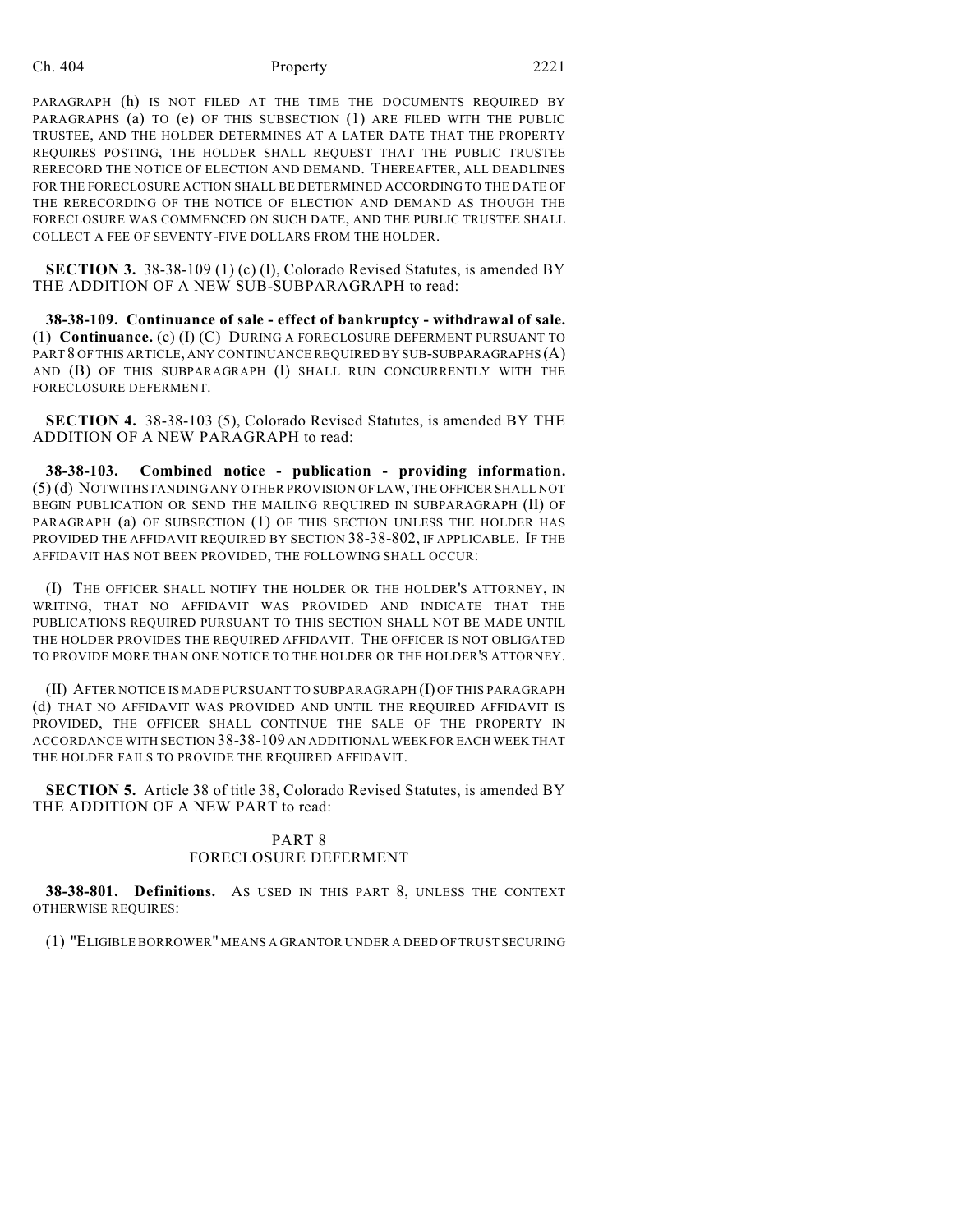## Ch. 404 Property 2221

PARAGRAPH (h) IS NOT FILED AT THE TIME THE DOCUMENTS REQUIRED BY PARAGRAPHS (a) TO (e) OF THIS SUBSECTION (1) ARE FILED WITH THE PUBLIC TRUSTEE, AND THE HOLDER DETERMINES AT A LATER DATE THAT THE PROPERTY REQUIRES POSTING, THE HOLDER SHALL REQUEST THAT THE PUBLIC TRUSTEE RERECORD THE NOTICE OF ELECTION AND DEMAND. THEREAFTER, ALL DEADLINES FOR THE FORECLOSURE ACTION SHALL BE DETERMINED ACCORDING TO THE DATE OF THE RERECORDING OF THE NOTICE OF ELECTION AND DEMAND AS THOUGH THE FORECLOSURE WAS COMMENCED ON SUCH DATE, AND THE PUBLIC TRUSTEE SHALL COLLECT A FEE OF SEVENTY-FIVE DOLLARS FROM THE HOLDER.

**SECTION 3.** 38-38-109 (1) (c) (I), Colorado Revised Statutes, is amended BY THE ADDITION OF A NEW SUB-SUBPARAGRAPH to read:

**38-38-109. Continuance of sale - effect of bankruptcy - withdrawal of sale.** (1) **Continuance.** (c) (I) (C) DURING A FORECLOSURE DEFERMENT PURSUANT TO PART 8 OF THIS ARTICLE, ANY CONTINUANCE REQUIRED BY SUB-SUBPARAGRAPHS (A) AND (B) OF THIS SUBPARAGRAPH (I) SHALL RUN CONCURRENTLY WITH THE FORECLOSURE DEFERMENT.

**SECTION 4.** 38-38-103 (5), Colorado Revised Statutes, is amended BY THE ADDITION OF A NEW PARAGRAPH to read:

**38-38-103. Combined notice - publication - providing information.** (5) (d) NOTWITHSTANDING ANY OTHER PROVISION OF LAW, THE OFFICER SHALL NOT BEGIN PUBLICATION OR SEND THE MAILING REQUIRED IN SUBPARAGRAPH (II) OF PARAGRAPH (a) OF SUBSECTION (1) OF THIS SECTION UNLESS THE HOLDER HAS PROVIDED THE AFFIDAVIT REQUIRED BY SECTION 38-38-802, IF APPLICABLE. IF THE AFFIDAVIT HAS NOT BEEN PROVIDED, THE FOLLOWING SHALL OCCUR:

(I) THE OFFICER SHALL NOTIFY THE HOLDER OR THE HOLDER'S ATTORNEY, IN WRITING, THAT NO AFFIDAVIT WAS PROVIDED AND INDICATE THAT THE PUBLICATIONS REQUIRED PURSUANT TO THIS SECTION SHALL NOT BE MADE UNTIL THE HOLDER PROVIDES THE REQUIRED AFFIDAVIT. THE OFFICER IS NOT OBLIGATED TO PROVIDE MORE THAN ONE NOTICE TO THE HOLDER OR THE HOLDER'S ATTORNEY.

(II) AFTER NOTICE IS MADE PURSUANT TO SUBPARAGRAPH (I) OF THIS PARAGRAPH (d) THAT NO AFFIDAVIT WAS PROVIDED AND UNTIL THE REQUIRED AFFIDAVIT IS PROVIDED, THE OFFICER SHALL CONTINUE THE SALE OF THE PROPERTY IN ACCORDANCE WITH SECTION 38-38-109 AN ADDITIONAL WEEK FOR EACH WEEK THAT THE HOLDER FAILS TO PROVIDE THE REQUIRED AFFIDAVIT.

**SECTION 5.** Article 38 of title 38, Colorado Revised Statutes, is amended BY THE ADDITION OF A NEW PART to read:

## PART 8 FORECLOSURE DEFERMENT

**38-38-801. Definitions.** AS USED IN THIS PART 8, UNLESS THE CONTEXT OTHERWISE REQUIRES:

(1) "ELIGIBLE BORROWER" MEANS A GRANTOR UNDER A DEED OF TRUST SECURING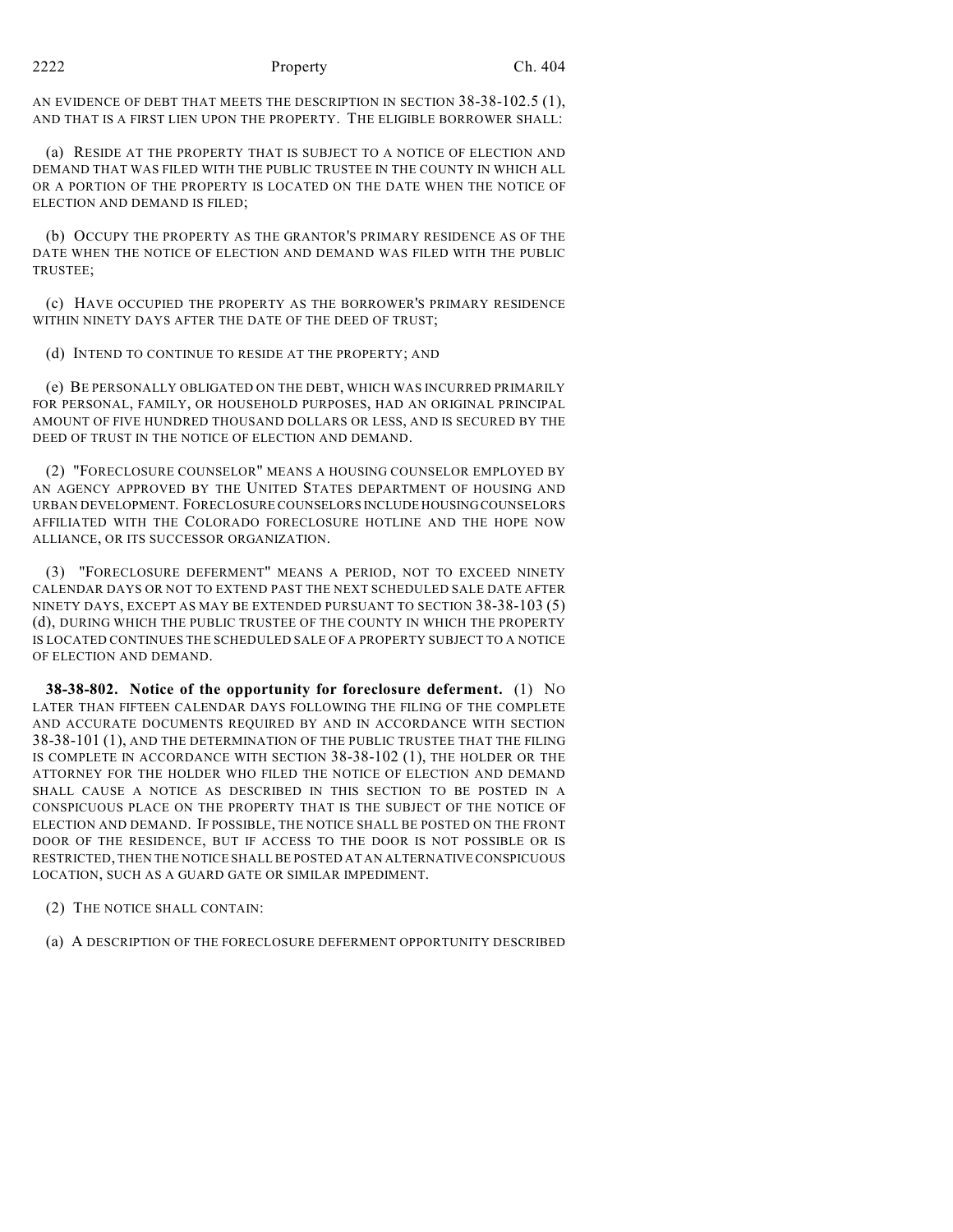AN EVIDENCE OF DEBT THAT MEETS THE DESCRIPTION IN SECTION 38-38-102.5 (1), AND THAT IS A FIRST LIEN UPON THE PROPERTY. THE ELIGIBLE BORROWER SHALL:

(a) RESIDE AT THE PROPERTY THAT IS SUBJECT TO A NOTICE OF ELECTION AND DEMAND THAT WAS FILED WITH THE PUBLIC TRUSTEE IN THE COUNTY IN WHICH ALL OR A PORTION OF THE PROPERTY IS LOCATED ON THE DATE WHEN THE NOTICE OF ELECTION AND DEMAND IS FILED;

(b) OCCUPY THE PROPERTY AS THE GRANTOR'S PRIMARY RESIDENCE AS OF THE DATE WHEN THE NOTICE OF ELECTION AND DEMAND WAS FILED WITH THE PUBLIC TRUSTEE;

(c) HAVE OCCUPIED THE PROPERTY AS THE BORROWER'S PRIMARY RESIDENCE WITHIN NINETY DAYS AFTER THE DATE OF THE DEED OF TRUST;

(d) INTEND TO CONTINUE TO RESIDE AT THE PROPERTY; AND

(e) BE PERSONALLY OBLIGATED ON THE DEBT, WHICH WAS INCURRED PRIMARILY FOR PERSONAL, FAMILY, OR HOUSEHOLD PURPOSES, HAD AN ORIGINAL PRINCIPAL AMOUNT OF FIVE HUNDRED THOUSAND DOLLARS OR LESS, AND IS SECURED BY THE DEED OF TRUST IN THE NOTICE OF ELECTION AND DEMAND.

(2) "FORECLOSURE COUNSELOR" MEANS A HOUSING COUNSELOR EMPLOYED BY AN AGENCY APPROVED BY THE UNITED STATES DEPARTMENT OF HOUSING AND URBAN DEVELOPMENT. FORECLOSURE COUNSELORS INCLUDE HOUSING COUNSELORS AFFILIATED WITH THE COLORADO FORECLOSURE HOTLINE AND THE HOPE NOW ALLIANCE, OR ITS SUCCESSOR ORGANIZATION.

(3) "FORECLOSURE DEFERMENT" MEANS A PERIOD, NOT TO EXCEED NINETY CALENDAR DAYS OR NOT TO EXTEND PAST THE NEXT SCHEDULED SALE DATE AFTER NINETY DAYS, EXCEPT AS MAY BE EXTENDED PURSUANT TO SECTION 38-38-103 (5) (d), DURING WHICH THE PUBLIC TRUSTEE OF THE COUNTY IN WHICH THE PROPERTY IS LOCATED CONTINUES THE SCHEDULED SALE OF A PROPERTY SUBJECT TO A NOTICE OF ELECTION AND DEMAND.

**38-38-802. Notice of the opportunity for foreclosure deferment.** (1) NO LATER THAN FIFTEEN CALENDAR DAYS FOLLOWING THE FILING OF THE COMPLETE AND ACCURATE DOCUMENTS REQUIRED BY AND IN ACCORDANCE WITH SECTION 38-38-101 (1), AND THE DETERMINATION OF THE PUBLIC TRUSTEE THAT THE FILING IS COMPLETE IN ACCORDANCE WITH SECTION 38-38-102 (1), THE HOLDER OR THE ATTORNEY FOR THE HOLDER WHO FILED THE NOTICE OF ELECTION AND DEMAND SHALL CAUSE A NOTICE AS DESCRIBED IN THIS SECTION TO BE POSTED IN A CONSPICUOUS PLACE ON THE PROPERTY THAT IS THE SUBJECT OF THE NOTICE OF ELECTION AND DEMAND. IF POSSIBLE, THE NOTICE SHALL BE POSTED ON THE FRONT DOOR OF THE RESIDENCE, BUT IF ACCESS TO THE DOOR IS NOT POSSIBLE OR IS RESTRICTED, THEN THE NOTICE SHALL BE POSTED AT AN ALTERNATIVE CONSPICUOUS LOCATION, SUCH AS A GUARD GATE OR SIMILAR IMPEDIMENT.

(2) THE NOTICE SHALL CONTAIN:

(a) A DESCRIPTION OF THE FORECLOSURE DEFERMENT OPPORTUNITY DESCRIBED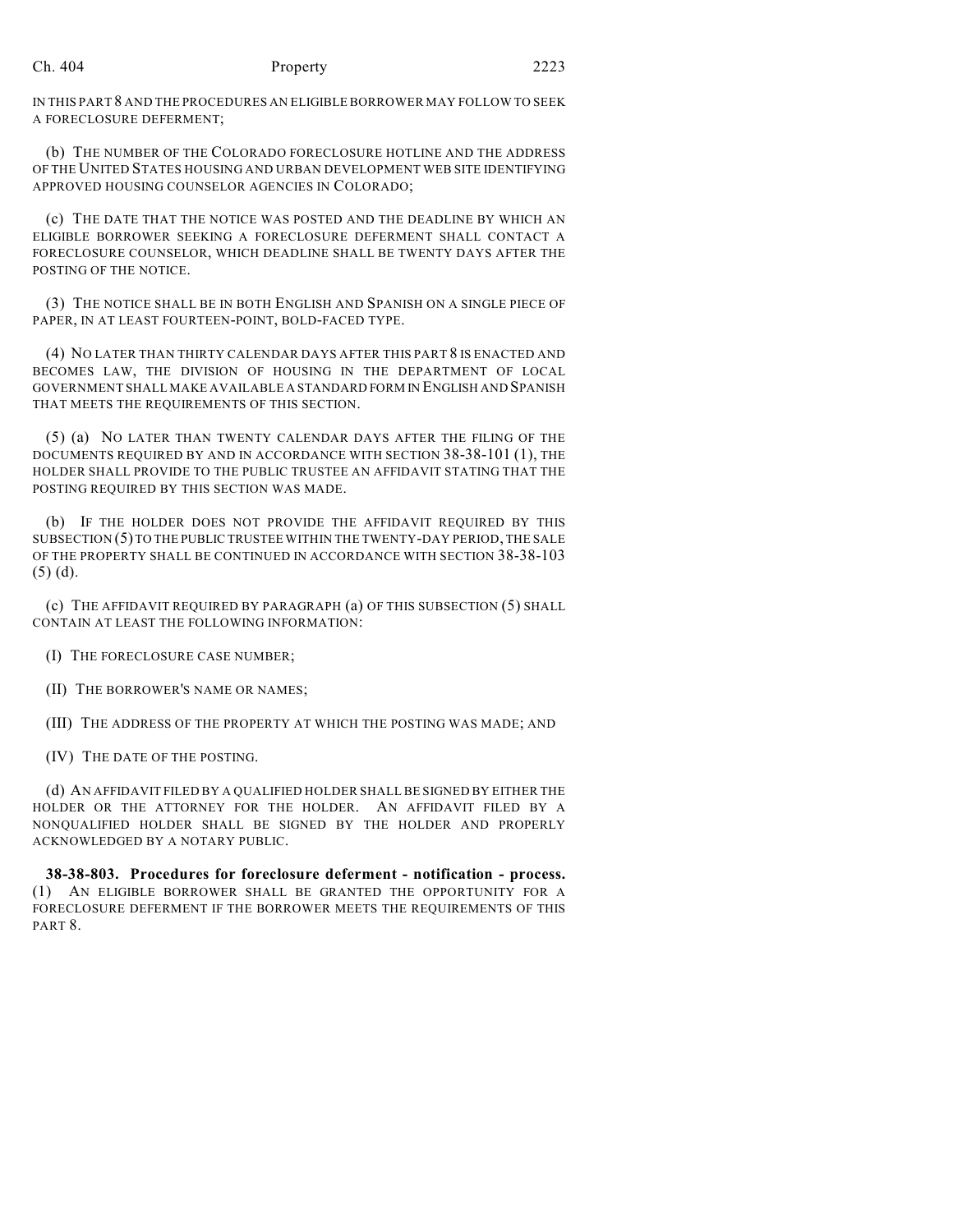IN THIS PART 8 AND THE PROCEDURES AN ELIGIBLE BORROWER MAY FOLLOW TO SEEK A FORECLOSURE DEFERMENT;

(b) THE NUMBER OF THE COLORADO FORECLOSURE HOTLINE AND THE ADDRESS OF THE UNITED STATES HOUSING AND URBAN DEVELOPMENT WEB SITE IDENTIFYING APPROVED HOUSING COUNSELOR AGENCIES IN COLORADO;

(c) THE DATE THAT THE NOTICE WAS POSTED AND THE DEADLINE BY WHICH AN ELIGIBLE BORROWER SEEKING A FORECLOSURE DEFERMENT SHALL CONTACT A FORECLOSURE COUNSELOR, WHICH DEADLINE SHALL BE TWENTY DAYS AFTER THE POSTING OF THE NOTICE.

(3) THE NOTICE SHALL BE IN BOTH ENGLISH AND SPANISH ON A SINGLE PIECE OF PAPER, IN AT LEAST FOURTEEN-POINT, BOLD-FACED TYPE.

(4) NO LATER THAN THIRTY CALENDAR DAYS AFTER THIS PART 8 IS ENACTED AND BECOMES LAW, THE DIVISION OF HOUSING IN THE DEPARTMENT OF LOCAL GOVERNMENT SHALL MAKE AVAILABLE A STANDARD FORM IN ENGLISH AND SPANISH THAT MEETS THE REQUIREMENTS OF THIS SECTION.

(5) (a) NO LATER THAN TWENTY CALENDAR DAYS AFTER THE FILING OF THE DOCUMENTS REQUIRED BY AND IN ACCORDANCE WITH SECTION 38-38-101 (1), THE HOLDER SHALL PROVIDE TO THE PUBLIC TRUSTEE AN AFFIDAVIT STATING THAT THE POSTING REQUIRED BY THIS SECTION WAS MADE.

(b) IF THE HOLDER DOES NOT PROVIDE THE AFFIDAVIT REQUIRED BY THIS SUBSECTION (5) TO THE PUBLIC TRUSTEE WITHIN THE TWENTY-DAY PERIOD, THE SALE OF THE PROPERTY SHALL BE CONTINUED IN ACCORDANCE WITH SECTION 38-38-103 (5) (d).

(c) THE AFFIDAVIT REQUIRED BY PARAGRAPH (a) OF THIS SUBSECTION (5) SHALL CONTAIN AT LEAST THE FOLLOWING INFORMATION:

(I) THE FORECLOSURE CASE NUMBER;

(II) THE BORROWER'S NAME OR NAMES;

(III) THE ADDRESS OF THE PROPERTY AT WHICH THE POSTING WAS MADE; AND

(IV) THE DATE OF THE POSTING.

(d) AN AFFIDAVIT FILED BY A QUALIFIED HOLDER SHALL BE SIGNED BY EITHER THE HOLDER OR THE ATTORNEY FOR THE HOLDER. AN AFFIDAVIT FILED BY A NONQUALIFIED HOLDER SHALL BE SIGNED BY THE HOLDER AND PROPERLY ACKNOWLEDGED BY A NOTARY PUBLIC.

**38-38-803. Procedures for foreclosure deferment - notification - process.** (1) AN ELIGIBLE BORROWER SHALL BE GRANTED THE OPPORTUNITY FOR A FORECLOSURE DEFERMENT IF THE BORROWER MEETS THE REQUIREMENTS OF THIS PART 8.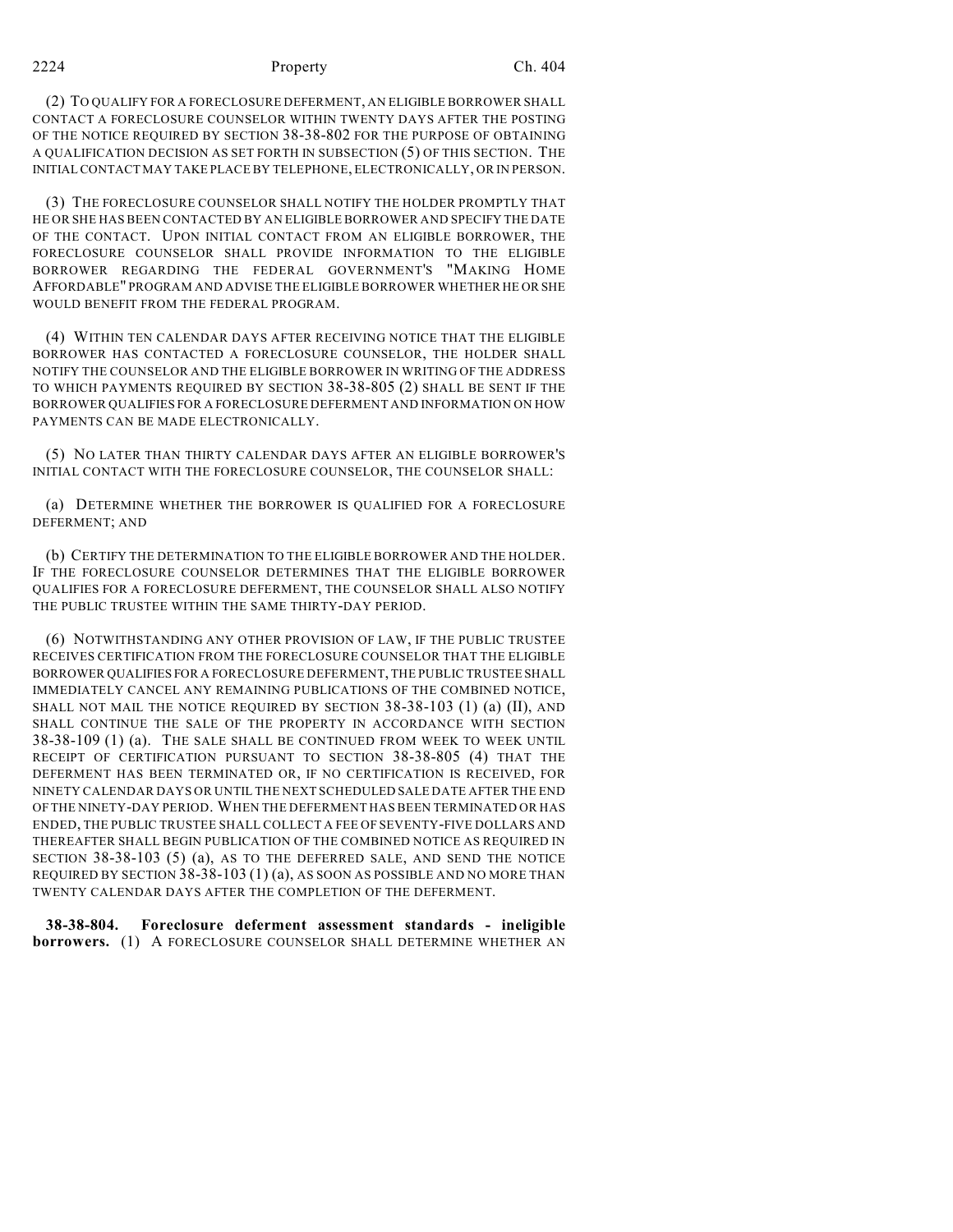#### 2224 Property Ch. 404

(2) TO QUALIFY FOR A FORECLOSURE DEFERMENT, AN ELIGIBLE BORROWER SHALL CONTACT A FORECLOSURE COUNSELOR WITHIN TWENTY DAYS AFTER THE POSTING OF THE NOTICE REQUIRED BY SECTION 38-38-802 FOR THE PURPOSE OF OBTAINING A QUALIFICATION DECISION AS SET FORTH IN SUBSECTION (5) OF THIS SECTION. THE INITIAL CONTACT MAY TAKE PLACE BY TELEPHONE, ELECTRONICALLY, OR IN PERSON.

(3) THE FORECLOSURE COUNSELOR SHALL NOTIFY THE HOLDER PROMPTLY THAT HE OR SHE HAS BEEN CONTACTED BY AN ELIGIBLE BORROWER AND SPECIFY THE DATE OF THE CONTACT. UPON INITIAL CONTACT FROM AN ELIGIBLE BORROWER, THE FORECLOSURE COUNSELOR SHALL PROVIDE INFORMATION TO THE ELIGIBLE BORROWER REGARDING THE FEDERAL GOVERNMENT'S "MAKING HOME AFFORDABLE" PROGRAM AND ADVISE THE ELIGIBLE BORROWER WHETHER HE OR SHE WOULD BENEFIT FROM THE FEDERAL PROGRAM.

(4) WITHIN TEN CALENDAR DAYS AFTER RECEIVING NOTICE THAT THE ELIGIBLE BORROWER HAS CONTACTED A FORECLOSURE COUNSELOR, THE HOLDER SHALL NOTIFY THE COUNSELOR AND THE ELIGIBLE BORROWER IN WRITING OF THE ADDRESS TO WHICH PAYMENTS REQUIRED BY SECTION 38-38-805 (2) SHALL BE SENT IF THE BORROWER QUALIFIES FOR A FORECLOSURE DEFERMENT AND INFORMATION ON HOW PAYMENTS CAN BE MADE ELECTRONICALLY.

(5) NO LATER THAN THIRTY CALENDAR DAYS AFTER AN ELIGIBLE BORROWER'S INITIAL CONTACT WITH THE FORECLOSURE COUNSELOR, THE COUNSELOR SHALL:

(a) DETERMINE WHETHER THE BORROWER IS QUALIFIED FOR A FORECLOSURE DEFERMENT; AND

(b) CERTIFY THE DETERMINATION TO THE ELIGIBLE BORROWER AND THE HOLDER. IF THE FORECLOSURE COUNSELOR DETERMINES THAT THE ELIGIBLE BORROWER QUALIFIES FOR A FORECLOSURE DEFERMENT, THE COUNSELOR SHALL ALSO NOTIFY THE PUBLIC TRUSTEE WITHIN THE SAME THIRTY-DAY PERIOD.

(6) NOTWITHSTANDING ANY OTHER PROVISION OF LAW, IF THE PUBLIC TRUSTEE RECEIVES CERTIFICATION FROM THE FORECLOSURE COUNSELOR THAT THE ELIGIBLE BORROWER QUALIFIES FOR A FORECLOSURE DEFERMENT, THE PUBLIC TRUSTEE SHALL IMMEDIATELY CANCEL ANY REMAINING PUBLICATIONS OF THE COMBINED NOTICE, SHALL NOT MAIL THE NOTICE REQUIRED BY SECTION 38-38-103 (1) (a) (II), AND SHALL CONTINUE THE SALE OF THE PROPERTY IN ACCORDANCE WITH SECTION 38-38-109 (1) (a). THE SALE SHALL BE CONTINUED FROM WEEK TO WEEK UNTIL RECEIPT OF CERTIFICATION PURSUANT TO SECTION 38-38-805 (4) THAT THE DEFERMENT HAS BEEN TERMINATED OR, IF NO CERTIFICATION IS RECEIVED, FOR NINETY CALENDAR DAYS OR UNTIL THE NEXT SCHEDULED SALE DATE AFTER THE END OF THE NINETY-DAY PERIOD. WHEN THE DEFERMENT HAS BEEN TERMINATED OR HAS ENDED, THE PUBLIC TRUSTEE SHALL COLLECT A FEE OF SEVENTY-FIVE DOLLARS AND THEREAFTER SHALL BEGIN PUBLICATION OF THE COMBINED NOTICE AS REQUIRED IN SECTION 38-38-103 (5) (a), AS TO THE DEFERRED SALE, AND SEND THE NOTICE REQUIRED BY SECTION 38-38-103 (1) (a), AS SOON AS POSSIBLE AND NO MORE THAN TWENTY CALENDAR DAYS AFTER THE COMPLETION OF THE DEFERMENT.

**38-38-804. Foreclosure deferment assessment standards - ineligible borrowers.** (1) A FORECLOSURE COUNSELOR SHALL DETERMINE WHETHER AN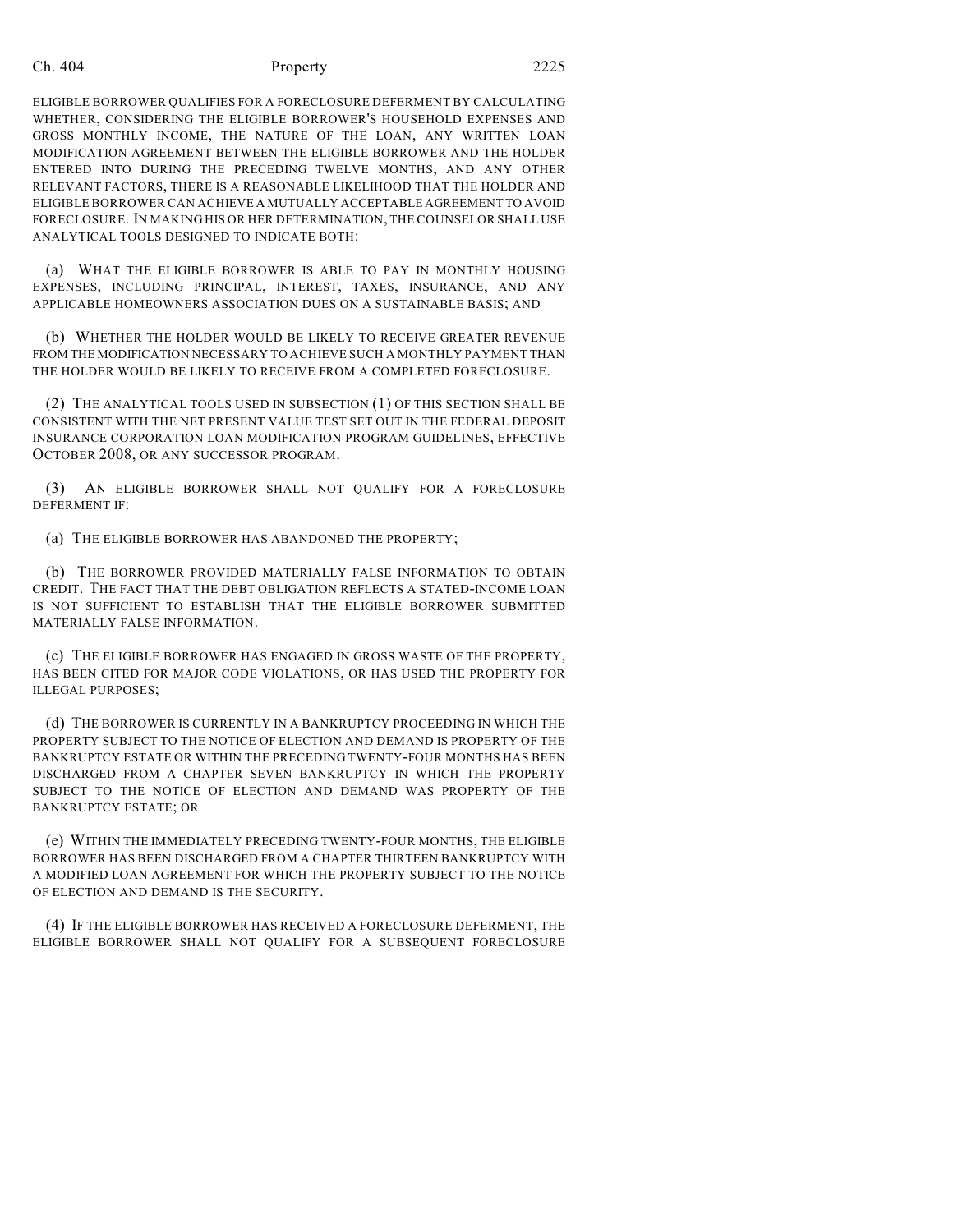## Ch. 404 **Property** 2225

ELIGIBLE BORROWER QUALIFIES FOR A FORECLOSURE DEFERMENT BY CALCULATING WHETHER, CONSIDERING THE ELIGIBLE BORROWER'S HOUSEHOLD EXPENSES AND GROSS MONTHLY INCOME, THE NATURE OF THE LOAN, ANY WRITTEN LOAN MODIFICATION AGREEMENT BETWEEN THE ELIGIBLE BORROWER AND THE HOLDER ENTERED INTO DURING THE PRECEDING TWELVE MONTHS, AND ANY OTHER RELEVANT FACTORS, THERE IS A REASONABLE LIKELIHOOD THAT THE HOLDER AND ELIGIBLE BORROWER CAN ACHIEVE A MUTUALLY ACCEPTABLE AGREEMENT TO AVOID FORECLOSURE. IN MAKING HIS OR HER DETERMINATION, THE COUNSELOR SHALL USE ANALYTICAL TOOLS DESIGNED TO INDICATE BOTH:

(a) WHAT THE ELIGIBLE BORROWER IS ABLE TO PAY IN MONTHLY HOUSING EXPENSES, INCLUDING PRINCIPAL, INTEREST, TAXES, INSURANCE, AND ANY APPLICABLE HOMEOWNERS ASSOCIATION DUES ON A SUSTAINABLE BASIS; AND

(b) WHETHER THE HOLDER WOULD BE LIKELY TO RECEIVE GREATER REVENUE FROM THE MODIFICATION NECESSARY TO ACHIEVE SUCH A MONTHLY PAYMENT THAN THE HOLDER WOULD BE LIKELY TO RECEIVE FROM A COMPLETED FORECLOSURE.

(2) THE ANALYTICAL TOOLS USED IN SUBSECTION (1) OF THIS SECTION SHALL BE CONSISTENT WITH THE NET PRESENT VALUE TEST SET OUT IN THE FEDERAL DEPOSIT INSURANCE CORPORATION LOAN MODIFICATION PROGRAM GUIDELINES, EFFECTIVE OCTOBER 2008, OR ANY SUCCESSOR PROGRAM.

(3) AN ELIGIBLE BORROWER SHALL NOT QUALIFY FOR A FORECLOSURE DEFERMENT IF:

(a) THE ELIGIBLE BORROWER HAS ABANDONED THE PROPERTY;

(b) THE BORROWER PROVIDED MATERIALLY FALSE INFORMATION TO OBTAIN CREDIT. THE FACT THAT THE DEBT OBLIGATION REFLECTS A STATED-INCOME LOAN IS NOT SUFFICIENT TO ESTABLISH THAT THE ELIGIBLE BORROWER SUBMITTED MATERIALLY FALSE INFORMATION.

(c) THE ELIGIBLE BORROWER HAS ENGAGED IN GROSS WASTE OF THE PROPERTY, HAS BEEN CITED FOR MAJOR CODE VIOLATIONS, OR HAS USED THE PROPERTY FOR ILLEGAL PURPOSES;

(d) THE BORROWER IS CURRENTLY IN A BANKRUPTCY PROCEEDING IN WHICH THE PROPERTY SUBJECT TO THE NOTICE OF ELECTION AND DEMAND IS PROPERTY OF THE BANKRUPTCY ESTATE OR WITHIN THE PRECEDING TWENTY-FOUR MONTHS HAS BEEN DISCHARGED FROM A CHAPTER SEVEN BANKRUPTCY IN WHICH THE PROPERTY SUBJECT TO THE NOTICE OF ELECTION AND DEMAND WAS PROPERTY OF THE BANKRUPTCY ESTATE; OR

(e) WITHIN THE IMMEDIATELY PRECEDING TWENTY-FOUR MONTHS, THE ELIGIBLE BORROWER HAS BEEN DISCHARGED FROM A CHAPTER THIRTEEN BANKRUPTCY WITH A MODIFIED LOAN AGREEMENT FOR WHICH THE PROPERTY SUBJECT TO THE NOTICE OF ELECTION AND DEMAND IS THE SECURITY.

(4) IF THE ELIGIBLE BORROWER HAS RECEIVED A FORECLOSURE DEFERMENT, THE ELIGIBLE BORROWER SHALL NOT QUALIFY FOR A SUBSEQUENT FORECLOSURE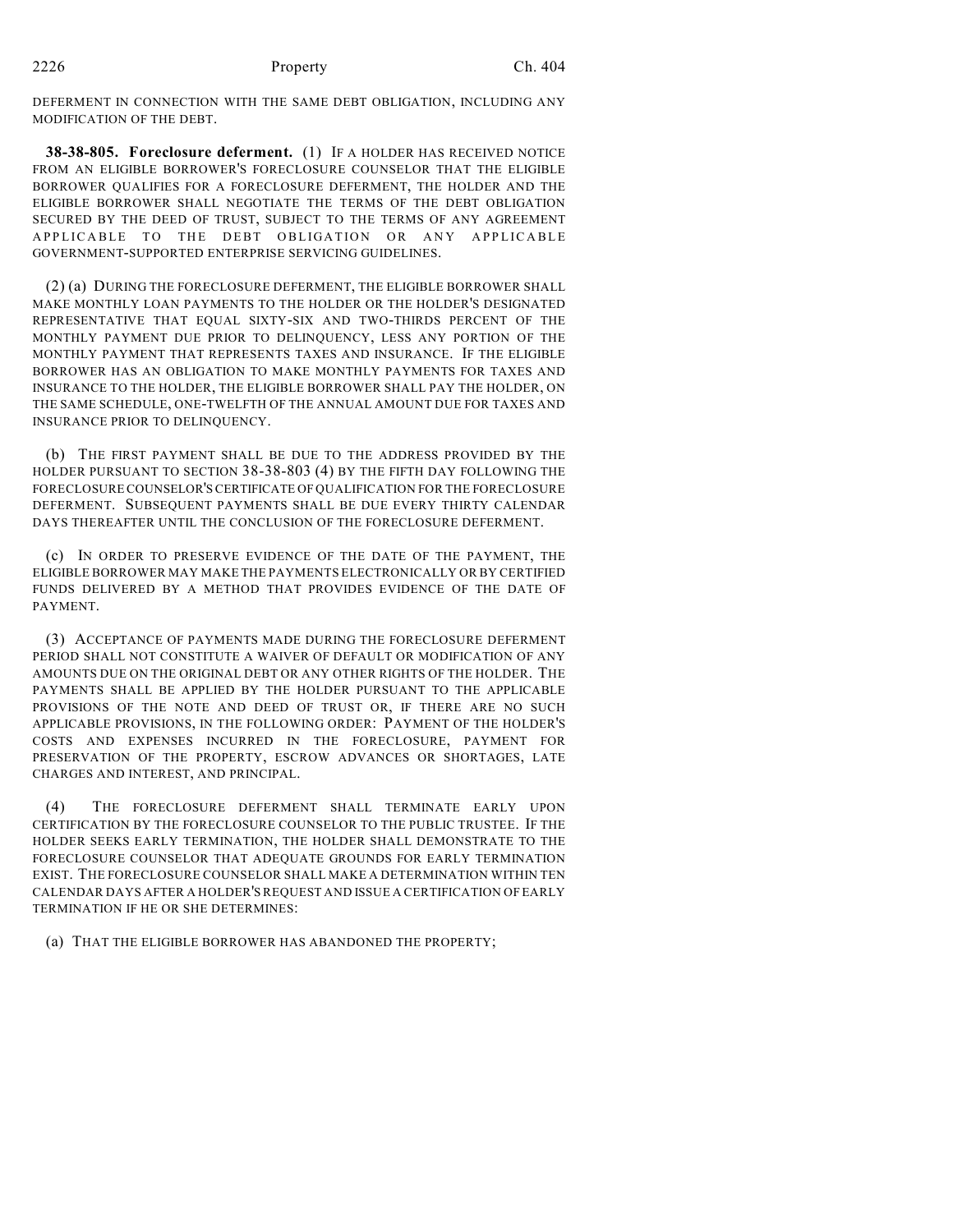DEFERMENT IN CONNECTION WITH THE SAME DEBT OBLIGATION, INCLUDING ANY MODIFICATION OF THE DEBT.

**38-38-805. Foreclosure deferment.** (1) IF A HOLDER HAS RECEIVED NOTICE FROM AN ELIGIBLE BORROWER'S FORECLOSURE COUNSELOR THAT THE ELIGIBLE BORROWER QUALIFIES FOR A FORECLOSURE DEFERMENT, THE HOLDER AND THE ELIGIBLE BORROWER SHALL NEGOTIATE THE TERMS OF THE DEBT OBLIGATION SECURED BY THE DEED OF TRUST, SUBJECT TO THE TERMS OF ANY AGREEMENT APPLICABLE TO THE DEBT OBLIGATION OR ANY APPLICABLE GOVERNMENT-SUPPORTED ENTERPRISE SERVICING GUIDELINES.

(2) (a) DURING THE FORECLOSURE DEFERMENT, THE ELIGIBLE BORROWER SHALL MAKE MONTHLY LOAN PAYMENTS TO THE HOLDER OR THE HOLDER'S DESIGNATED REPRESENTATIVE THAT EQUAL SIXTY-SIX AND TWO-THIRDS PERCENT OF THE MONTHLY PAYMENT DUE PRIOR TO DELINQUENCY, LESS ANY PORTION OF THE MONTHLY PAYMENT THAT REPRESENTS TAXES AND INSURANCE. IF THE ELIGIBLE BORROWER HAS AN OBLIGATION TO MAKE MONTHLY PAYMENTS FOR TAXES AND INSURANCE TO THE HOLDER, THE ELIGIBLE BORROWER SHALL PAY THE HOLDER, ON THE SAME SCHEDULE, ONE-TWELFTH OF THE ANNUAL AMOUNT DUE FOR TAXES AND INSURANCE PRIOR TO DELINQUENCY.

(b) THE FIRST PAYMENT SHALL BE DUE TO THE ADDRESS PROVIDED BY THE HOLDER PURSUANT TO SECTION 38-38-803 (4) BY THE FIFTH DAY FOLLOWING THE FORECLOSURE COUNSELOR'S CERTIFICATE OF QUALIFICATION FOR THE FORECLOSURE DEFERMENT. SUBSEQUENT PAYMENTS SHALL BE DUE EVERY THIRTY CALENDAR DAYS THEREAFTER UNTIL THE CONCLUSION OF THE FORECLOSURE DEFERMENT.

(c) IN ORDER TO PRESERVE EVIDENCE OF THE DATE OF THE PAYMENT, THE ELIGIBLE BORROWER MAY MAKE THE PAYMENTS ELECTRONICALLY OR BY CERTIFIED FUNDS DELIVERED BY A METHOD THAT PROVIDES EVIDENCE OF THE DATE OF **PAYMENT** 

(3) ACCEPTANCE OF PAYMENTS MADE DURING THE FORECLOSURE DEFERMENT PERIOD SHALL NOT CONSTITUTE A WAIVER OF DEFAULT OR MODIFICATION OF ANY AMOUNTS DUE ON THE ORIGINAL DEBT OR ANY OTHER RIGHTS OF THE HOLDER. THE PAYMENTS SHALL BE APPLIED BY THE HOLDER PURSUANT TO THE APPLICABLE PROVISIONS OF THE NOTE AND DEED OF TRUST OR, IF THERE ARE NO SUCH APPLICABLE PROVISIONS, IN THE FOLLOWING ORDER: PAYMENT OF THE HOLDER'S COSTS AND EXPENSES INCURRED IN THE FORECLOSURE, PAYMENT FOR PRESERVATION OF THE PROPERTY, ESCROW ADVANCES OR SHORTAGES, LATE CHARGES AND INTEREST, AND PRINCIPAL.

(4) THE FORECLOSURE DEFERMENT SHALL TERMINATE EARLY UPON CERTIFICATION BY THE FORECLOSURE COUNSELOR TO THE PUBLIC TRUSTEE. IF THE HOLDER SEEKS EARLY TERMINATION, THE HOLDER SHALL DEMONSTRATE TO THE FORECLOSURE COUNSELOR THAT ADEQUATE GROUNDS FOR EARLY TERMINATION EXIST. THE FORECLOSURE COUNSELOR SHALL MAKE A DETERMINATION WITHIN TEN CALENDAR DAYS AFTER A HOLDER'S REQUEST AND ISSUE A CERTIFICATION OF EARLY TERMINATION IF HE OR SHE DETERMINES:

(a) THAT THE ELIGIBLE BORROWER HAS ABANDONED THE PROPERTY;